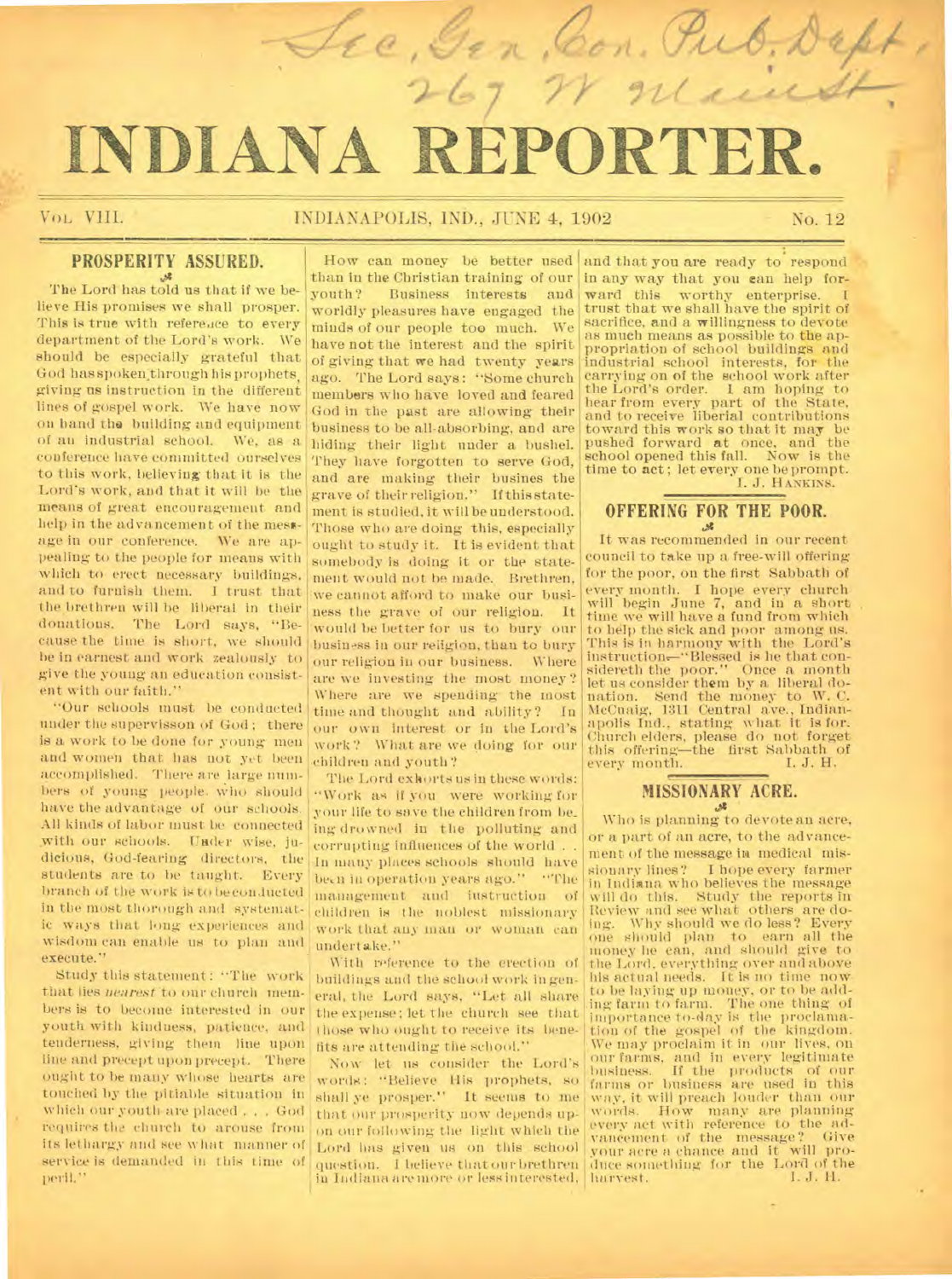# INDIANA REPORTE

*7l*/0 *klor A ` <sup>t</sup> ' el* , *Ac4;* 

 $\overline{\mathcal{I}}$ 

VOL, VIII. INDIANAPOLIS, IND., JUNE 4, 1902 No. 12

## **PROSPERITY ASSURED.**

The Lord has told us that if we believe His promises we shall prosper. This is true with reference to every department of the Lord's work. We should be especially grateful that God has spoken through his prophets. giving us instruction in the different lines of gospel work. We have now on hand the building and equipment of au industrial school. We, as a conference have committed ourselves to this work, believing that it is the Lord's work, and that it will be the means of great encouragement and help in the advancement of the message in our conference. We are appealing to the people for means with which to erect necessary buildings, and to furnish them. I trust that the brethren will be liberal in their donations. The Lord says, "Because the time is short, we should be in earnest and work zealously to give the young an education consistent with our faith."

"Our schools must be conducted under the supervisson of God; there is a work to be done for young men and women that has not yet been accomplished. There are large numbers of young people. who should have the advantage of our schools. All kinds of labor must be connected with our schools. Under wise, judicious, God-fearing directors, the students are to be taught. Every branch of the work is to beconducted in the most thorough and systematic ways that long experiences and wisdom can enable us to plan and execute."

Study this statement: "The work that lies *nearest* to our church members is to become interested in our youth with kindness, patience, and tenderness, giving them line upon line and precept upon precept. There ought to be many whose hearts are touched by the pitiable situation in which our youth are placed . . . God requires the church to arouse from its lethargy and see what manner of service is demanded in this time of peril."

than in the Christian training of our youth? Business interests and worldly pleasures have engaged the minds of our people too much. We have not the interest and the spirit of giving that we had twenty years ago. The Lord says: "Some church members who have loved and feared God in the past are allowing their business to be all-absorbing, and are .hiding their light under a bushel. They have forgotten to serve God, and are making their busines the grave of their religion." If this statement is studied, it will be understood. Those who are doing this, especially ought to study it. It is evident that somebody is doing it or the statement would not be made. Brethren, we cannot afford to make our business the grave of our religion. It would be better for us to bury our business in our religion, than to bury our religion in our business. Where are we investing the most money? Where are we spending the most time and thought and ability? In our own interest or in the Lord's work? What are we doing for our children and youth?

The Lord exhorts us in these words: "Work as if you were working for your life to save the children from be\_ ing drowned in the polluting and corrupting influences of the world . . In ninny places schools should have been in operation years ago." "The<br>management and instruction of management and instruction children is the noblest missionary work that any man or woman can undertake."

With reference to the erection of buildings and the school work in general, the Lord says, "Let all share the expense; let the church see that those who ought to receive its benefits are attending the school."

Now let us consider the Lord's words: "Believe His prophets, so shall ye prosper." It seems to me that our prosperity now depends upon our following the light which the Lord has given us on this school question. I believe that our brethren in Indiana are more or less interested,

How can money be better used and that you are ready to respond in any way that you can help forward this worthy enterprise. trust that we shall have the spirit of sacrifice, and a willingness to devote as much means as possible to the appropriation of school buildings and industrial school interests, for the carrying on of the school work after the Lord's order. 1 am hoping to hear from every part of the State, and to receive liberial contributions toward this work so that it may be pushed forward at once, and the pushed forward at once, and the<br>school opened this fall. Now is the time to act; let every one be prompt. I. J. HANKINS.

# **OFFERING FOR THE POOR.**

It was recommended in our recent council to take up a free-will offering for the poor, on the first Sabbath of every month. I hope every church will begin June 7, and in a short time we will have a fund from which to help the sick and poor among us. This is in harmony with the Lord's instructiom—"Blessed is he that con-sidereth the poor." Once a month let us consider them by a liberal donation. Send the money to W. C. McCuaig, 1311 Central ave., Indian-apolis Ind., stating what it is for. Church elders, please do not forget this offering—the first Sabbath of every month. I. J. H. every month.

# **MISSIONARY ACRE.**

Who is planning to devote an acre, or a part of an acre, to the advancement of the message in medical missionary lines? I hope every farmer. in Indiana who believes the message will do this. Study the reports in Review and see what others are do-ing. Why should we do less? Every one should plan to earn all the money he can, and should give to the Lord, everything over and above his actual needs. It is no time now. to be laying up money, or to he adding farm to farm. The one thing of importance to-Ray is the proclama-tion of the gospel of the kingdom. • We may proclaim it in our lives, on our farms, and in every legitimate .business. If the products of our farms or business are used in this way, it will preach louder than our words. How many are planning every act with reference to the advancement of the message? Give your acre a chance and it will produce something for the Lord of the<br>harvest. [1, J. H.] harvest.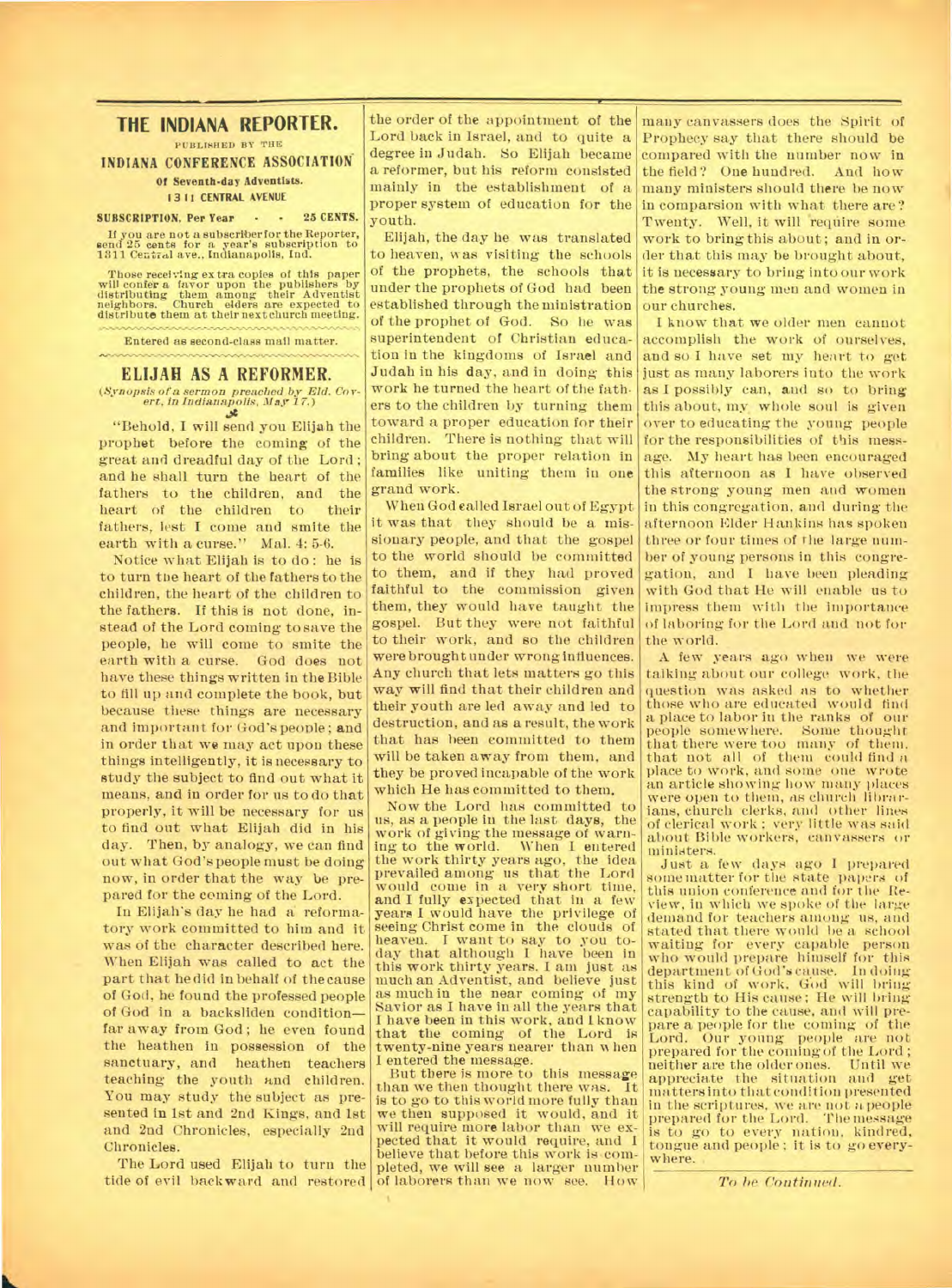### **THE INDIANA REPORTER.**

**PUBLISHED BY THE** 

**INDIANA CONFERENCE ASSOCIATION Of Seventh day Adventists.** 

#### **1311 CENTRAL AVENUE**

#### **SUBSCRIPTION, Per Year - - 25 CENTS.**

**If you are not a subscriber for the Reporter, send 25 cents for a year's subscription to 1311 Central ave., Indianapolis, Ind.** 

**Those receiving extra copies of this paper will confer a favor upon the publishers by distributing them among their Adventist neighbors. Church eiders are expected to distribute them at their next church meeting.** 

**Entered as second-class mail matter.** 

#### **ELIJAH AS A REFORMER.**

*(Synopsis of a sermon preached by Eld. Cov-ert, in Indianapolis. May 17.)* 

"Behold, I will send you Elijah the prophet before the coming of the great and dreadful day of the Lord ; and he shall turn the heart of the fathers to the children, and the<br>heart of the children to their heart of the children to fathers, lest I come and smite the earth with a curse." Mal. 4: 5-6.

Notice what Elijah is to do : he is to turn the heart of the fathers to the children, the heart of the children to the fathers. If this is not done, instead of the Lord coming to save the people, he will come to smite the earth with a curse. God does not have these things written in the Bible to fill up and complete the book, but because these things are necessary and important for God's people; and in order that we may act upon these things intelligently, it is necessary to study the subject to find out what it means, and in order for us to do that properly, it will be necessary for us to find out what Elijah did in his day. Then, by analogy, we can find out what God's people must be doing now, in order that the way be prepared for the coming of the Lord.

In Elijah's day he had a reformatory work committed to him and it was of the character described here. When Elijah was called to act the part that he did in behalf of the cause of God, he found the professed people of God in a backsliden condition far away from God; he even found the heathen in possession of the sanctuary, and heathen teachers teaching the youth and children. You may study the subject as presented in 1st and 2nd Kings, and 1st and 2nd Chronicles, especially 2nd Chronicles.

The Lord used Elijah to turn the tide of evil backward and restored of laborers than we now see. How

the order of the appointment of the Lord back in Israel, and to quite a degree in Judah. So Elijah became a reformer, but his reform consisted mainly in the establishment of a proper system of education for the youth.

Elijah, the day he was translated to heaven, was visiting the schools of the prophets, the schools that under the prophets of God had been established through the ministration of the prophet of God. So lie was superintendent of Christian education in the kingdoms of Israel and Judah in his day, and in doing this work he turned the heart of the fathers to the children by turning them toward a proper education for their children. There is nothing that will bring about the proper relation in families like uniting them in one grand work.

When God called Israel out of Egypt it was that they should be a missionary people, and that the gospel to the world should be committed to them, and if they had proved faithful to the commission given them, they would have taught the gospel. But they were not faithful to their work, and so the children were brought under wrong influences. Any church that lets matters go this way will find that their children and their youth are led away and led to destruction, and as a result, the work that has been committed to them will be taken away from them, and they be proved incapable of the work which He has committed to them.

Now the Lord has committed to us, as a people in the last days, the work of giving the message of warning to the world. When I entered the work thirty years ago, the idea prevailed among us that the Lord would come in a very short time, **and I** fully expected that in a few years I would have the privilege of seeing Christ come in the clouds of heaven. I want to say to you to-day that although I have been in this work thirty years. I am just as much an Adventist, and believe just as much in the near coming of my Savior as I have in all the years that I have been in this work, and I know that the coming of the Lord is twenty-nine years nearer than when I entered the message.

But there is more to this message than we then thought there was. It is to go to this world more fully than we then supposed it would, and it will require more labor than we ex-pected that it would require, and I believe that before this work is completed, we will see a larger number

many canvassers does the Spirit of Prophecy say that there should be compared with the number now in the field? One hundred. And how many ministers should there be now in comparsion with what there are? Twenty. Well, it will require some work to bring this about ; and in order that this may be brought about, it is necessary to bring into our work the strong young men and women in our churches.

I know that we older men cannot accomplish the work of ourselves, and so I have set my heart to get just as many laborers into the work as I possibly can, and so to bring this about, my, whole soul is given over to educating the young people for the responsibilities of this message. My heart has been encouraged this afternoon as I have observed the strong young men and women in this congregation, and during the afternoon Elder Hankins has spoken three or four times of the large number of young persons in this congregation, and I have been pleading with God that He will enable us to impress them with the importance of laboring for the Lord and not for the world.

A few years ago when we were talking about our college work, the question was asked as to whether those who are educated would find a place to labor in the ranks of our people somewhere. that there were too many of them. that not all of them could find a place to work, and some one wrote an article showing how ninny places were open to them, as church librarians, church clerks, and other lines of clerical work ; very little was said about Bible workers, canvassers or ministers.

Just a few days ago I prepared some matter for the state papers of this union conference and for the Review, in which we spoke of the large demand for teachers among us, and stated that there would be a school waiting for every capable person who would prepare himself for this department of God's cause. In doing this kind of work, God will bring strength to His cause; He will bring capability to the cause, and will prepare a people for the coming of the Lord. Our young people are not prepared for the coming of the Lord;<br>neither are the olderones. Until we neither are the older ones. appreciate the situation and get matters into that condition presented in the scriptures, we are not apeople prepared for the Lord. The message is to go to every nation, kindred, tongue and people; it is to go everywhere.

*To he Continued.*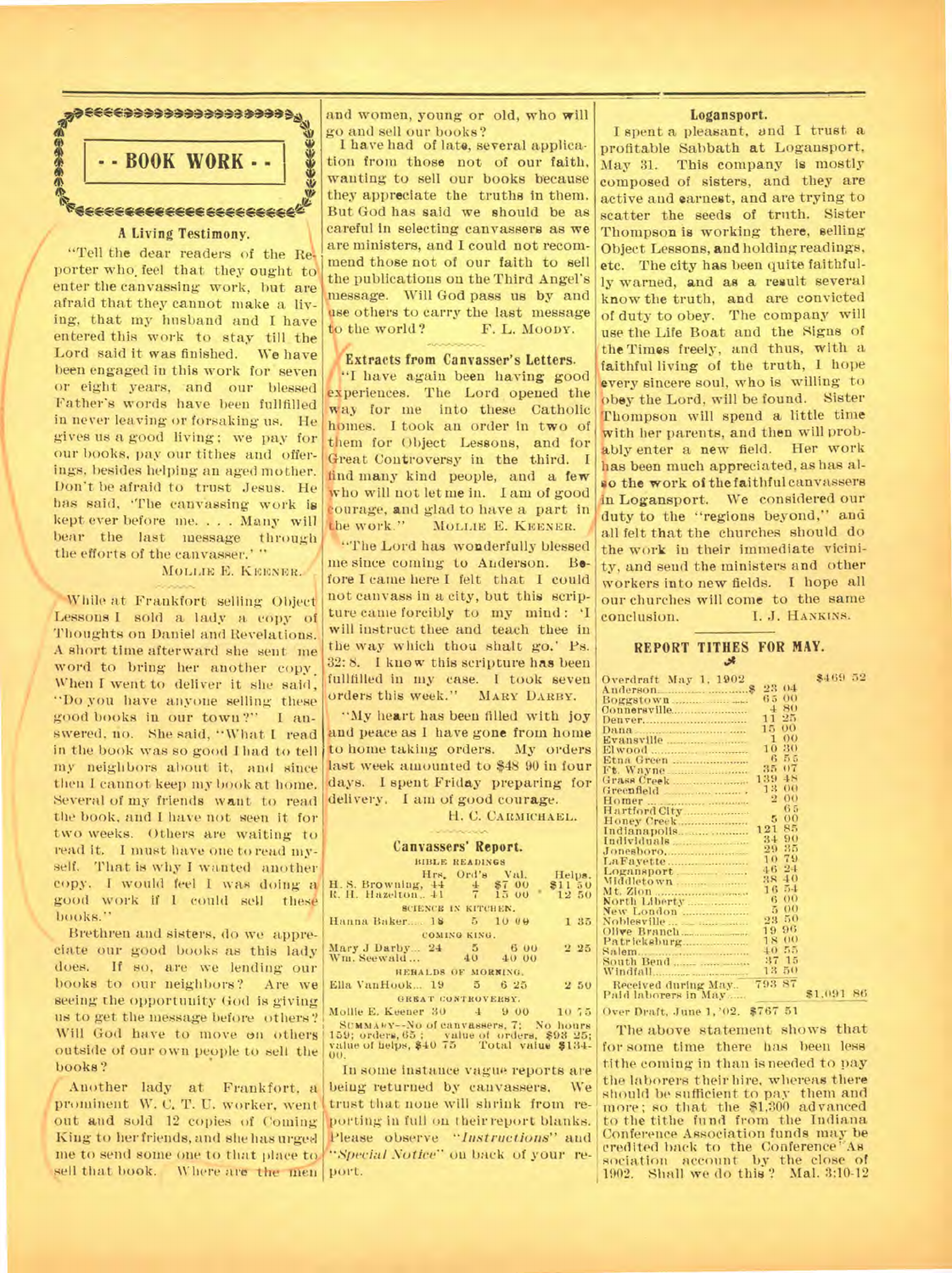

#### **A** Living Testimony.

"Tell the dear readers of the Reporter who; feel that they ought to enter the canvassing work, but are afraid that they cannot make a living, that my husband and I have entered this work to stay till the Lord said it was finished. We have been engaged in this work for seven or eight years, and our blessed Father's words have been fullfilled in never leaving or forsaking us. He gives us a good living ; we pay for our books, pay our tithes and offerings, besides helping an aged mother. Don't be afraid to trust Jesus. He has said, 'The canvassing work is kept ever before me. . . . Many will bear the last message through the efforts of the canvasser.' "

## MOLLIE E. KEENER.

While at Frankfort selling Object Lessons I sold a lady a copy of Thoughts on Daniel and Revelations. A short time afterward she sent me word to bring her another copy. When I went to deliver it she said, "Do you have anyone selling these good books in our town ?" I answered, no. She said, "What I read in the book was so good I had to tell my neighbors about it, and since then I cannot keep my book at home. Several of my friends want to read the book, and I have not seen it for two weeks. Others are waiting to read it. I must have one to read myself. That is why I wanted another copy. I would feel I was doing a good work if I could sell these books."

•%,

Brethren and sisters, do we appreciate our good books as this lady does. If so, are we lending our books to our neighbors? Are we seeing the opportunity God is giving us to get the message before others? Will God have to move on others outside of our own people to sell the books?

Another lady at Frankfort, a prominent W. C. T. U. worker, went out and sold 12 copies of Coming King to her friends, and she has urged me to send some one to that place to sell that book. Where are the men port.

and women, young or old, who **will**  go and sell our books?

I have had of late, several application from those not of our faith, wanting to sell our books because they appreciate the truths in them. But God has said we should be as careful in selecting canvassers as we are ministers, and I could not recommend those not of our faith to sell the publications on the Third Angel's message. Will God pass us by and use others to carry the last message<br>to the world? F. L. Moopy. F. L. MOODY.

#### **/Extracts from Canvasser's Letters.**

"I have again been having good experiences. The Lord opened the way for me into these Catholic homes. I took an order in two of them for Object Lessons, and for Great Controversy in the third. I find many kind people, and a few who will not let me in. I am of good ourage, and glad to have a part in MOLLIE E. KEENER.

"The Lord has wonderfully blessed me since coming to Anderson. Before I came here I felt that I could not canvass in a city, but this scripture came forcibly to my mind : 'I will instruct thee and teach thee in the way which thou shalt go.' Ps. 32: 8. I know this scripture has been fullfilled in my case. I took seven orders this week." MARY DARBY.

"My heart has been filled with joy and peace as I have gone from home to home taking orders. My orders last week amounted to \$48 90 in four days. I spent Friday preparing for delivery. I am of good courage.

#### H. C. CARMICHAEL.

# **Canvassers' Report.**

|                                                                           | <b>BIBLE READINGS</b> |                           |
|---------------------------------------------------------------------------|-----------------------|---------------------------|
| H. S. Browning, 44 4 \$7 00<br>R. H. Hazelton, 41 7 15 00                 | Hrs. Ord's Val.       | Helps.<br>\$1150<br>12 50 |
|                                                                           | SCIENCE IN KITCHEN.   |                           |
| Hanna Baker 18 5 10 00                                                    |                       | 135                       |
|                                                                           | COMING KING.          |                           |
| Mary J Darby 24 5 6 00<br>Wm. Seewald 40 40 00                            |                       | 225                       |
| HEHALDS OF MORNING.                                                       |                       |                           |
| Ella VanHook 19 5 6 25                                                    |                       | 250                       |
| GREAT CONTROVERSY.                                                        |                       |                           |
| Mollie E. Keener 30 4 9 00 10 75<br>SUMMARY-NO of canvassers, 7: No hours |                       |                           |
| $159:$ orders $65:$ value of orders $898.95:$                             |                       |                           |

SUMMARY--No of canvassers, 7; No hours<br>159; orders, 65 ; value of orders, \$93 25;<br>value of helps, \$40 75 Total value \$134-<br>00.

In some instance vague reports are being returned by canvassers. We trust that none will shrink from reorting in full on their report blanks. porting in tun on their report blanks.<br>
Please observe *"Instructions"* and<br>
"Namial Nation" on book of your m *"Special Notice"* on back of your re-

#### Logansport.

I spent a pleasant, and I trust a profitable Sabbath at Logansport, May 31. This company is mostly composed of sisters, and they are active and earnest, and are trying to scatter the seeds of truth. Sister Thompson is working there, selling Object Lessons, and holding readings, etc. The city has been quite faithfully warned, and as a result several know the truth, and are convicted of duty to obey. The company will use the Life Boat and the Signs of the Times freely, and thus, with a faithful living of the truth, I hope every sincere soul, who is willing to obey the Lord, will be found. Sister Thompson will spend a little time with her parents, and then will probably enter a new field. Her work has been much appreciated, as has also the work of the faithful canvassers in Logansport. We considered our duty to the "regions beyond," and all felt that the churches should do the work in their immediate vicinity, and send the ministers and other workers into new fields. I hope all our churches will come to the same<br>conclusion. I. J. HANKINS. I. J. HANKINS.

#### **REPORT TITHES FOR MAY. 41**

52

| Overdraft May 1, 1902 |                      | \$469 52      |
|-----------------------|----------------------|---------------|
| Anderson              | 23<br>04             |               |
|                       | O <sub>O</sub><br>65 |               |
| Connersville          | 80<br>4              |               |
|                       | 25<br>11             |               |
| Dana                  | 00<br>15             |               |
| Evansville            | $\Omega$<br>1        |               |
|                       | 30<br>10             |               |
| Etna Green            | в<br>5.5             |               |
| Ft. Wayne             | 07<br>35             |               |
|                       | 48<br>139            |               |
| Greenfield            | O(<br>13             |               |
|                       | $\sigma$<br>2        |               |
| Hartford City         | 65                   |               |
| Honey Creek           | 0 <sub>0</sub><br>5  |               |
| Indianapolis          | 85<br>121            |               |
|                       | 90<br>34             |               |
|                       | 35<br>29             |               |
|                       | 79<br>10             |               |
| Logansport.           | 24<br>46             |               |
|                       | 40<br>38             |               |
| Mt. Zion              | 54<br>16             |               |
|                       | $^{00}$<br>6         |               |
| New London            | O()<br>5             |               |
|                       | 50<br>23             |               |
|                       | 96<br>19             |               |
|                       | O<br>18              |               |
|                       | 55<br>$+0$           |               |
|                       | 37<br>15             |               |
|                       | 50<br>13             |               |
| Received during May   | 87<br>793            |               |
| Paid laborers in May  |                      | \$1,091<br>86 |
|                       |                      |               |

Over Draft, June 1, '02. \$767 51

The above statement shows that for some time there has been less tithe coming in than is needed to pay the laborers their hire, whereas there should be sufficient to pay them and more; so that the \$1,300 advanced to the tithe fund from the Indiana Conference Association funds may be<br>credited back to the Conference As credited back to the Conference sociation account by the close of 1902. Shall we do this ? Mal. 3:10-12